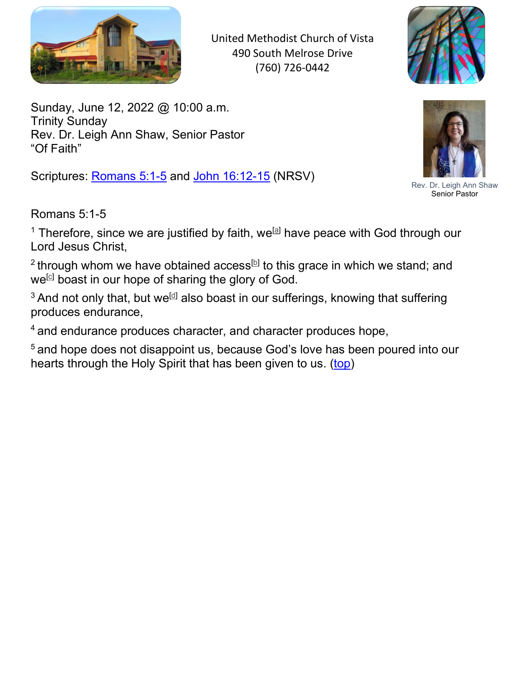

United Methodist Church of Vista 490 South Melrose Drive (760) 726-0442



Sunday, June 12, 2022 @ 10:00 a.m. Trinity Sunday Rev. Dr. Leigh Ann Shaw, Senior Pastor "Of Faith"

Scriptures: Romans 5:1-5 and John 16:12-15 (NRSV)



Rev. Dr. Leigh Ann Shaw Senior Pastor

Romans 5:1-5

 $^{\rm 1}$  Therefore, since we are justified by faith, we $^{\rm [a]}$  have peace with God through our Lord Jesus Christ,

 $^2$ through whom we have obtained access $^{\text{[b]}}$  to this grace in which we stand; and we<sup>ো</sup> boast in our hope of sharing the glory of God.

 $^3$  And not only that, but we $\stackrel{\text{{\tiny \textsf{(d)}}}}{ }$  also boast in our sufferings, knowing that suffering produces endurance,

<sup>4</sup> and endurance produces character, and character produces hope,

<sup>5</sup> and hope does not disappoint us, because God's love has been poured into our hearts through the Holy Spirit that has been given to us. (top)